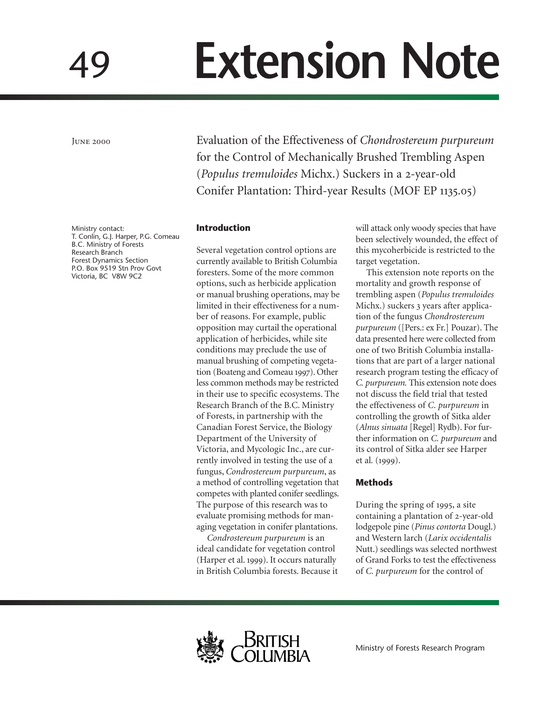# **Extension Note**

June 2000

49

Ministry contact: T. Conlin, G.J. Harper, P.G. Comeau B.C. Ministry of Forests Research Branch Forest Dynamics Section P.O. Box 9519 Stn Prov Govt Victoria, BC V8W 9C2

Evaluation of the Effectiveness of *Chondrostereum purpureum* for the Control of Mechanically Brushed Trembling Aspen (*Populus tremuloides* Michx.) Suckers in a 2-year-old Conifer Plantation: Third-year Results (MOF EP 1135.05)

## **Introduction**

Several vegetation control options are currently available to British Columbia foresters. Some of the more common options, such as herbicide application or manual brushing operations, may be limited in their effectiveness for a number of reasons. For example, public opposition may curtail the operational application of herbicides, while site conditions may preclude the use of manual brushing of competing vegetation (Boateng and Comeau 1997). Other less common methods may be restricted in their use to specific ecosystems. The Research Branch of the B.C. Ministry of Forests, in partnership with the Canadian Forest Service, the Biology Department of the University of Victoria, and Mycologic Inc., are currently involved in testing the use of a fungus, *Condrostereum purpureum*, as a method of controlling vegetation that competes with planted conifer seedlings. The purpose of this research was to evaluate promising methods for managing vegetation in conifer plantations.

*Condrostereum purpureum* is an ideal candidate for vegetation control (Harper et al. 1999). It occurs naturally in British Columbia forests. Because it will attack only woody species that have been selectively wounded, the effect of this mycoherbicide is restricted to the target vegetation.

This extension note reports on the mortality and growth response of trembling aspen (*Populus tremuloides* Michx.) suckers 3 years after application of the fungus *Chondrostereum purpureum* ([Pers.: ex Fr.] Pouzar). The data presented here were collected from one of two British Columbia installations that are part of a larger national research program testing the efficacy of *C. purpureum.* This extension note does not discuss the field trial that tested the effectiveness of *C. purpureum* in controlling the growth of Sitka alder (*Alnus sinuata* [Regel] Rydb). For further information on *C. purpureum* and its control of Sitka alder see Harper et al. (1999).

# **Methods**

During the spring of 1995, a site containing a plantation of 2-year-old lodgepole pine (*Pinus contorta* Dougl.) and Western larch (*Larix occidentalis* Nutt.) seedlings was selected northwest of Grand Forks to test the effectiveness of *C. purpureum* for the control of

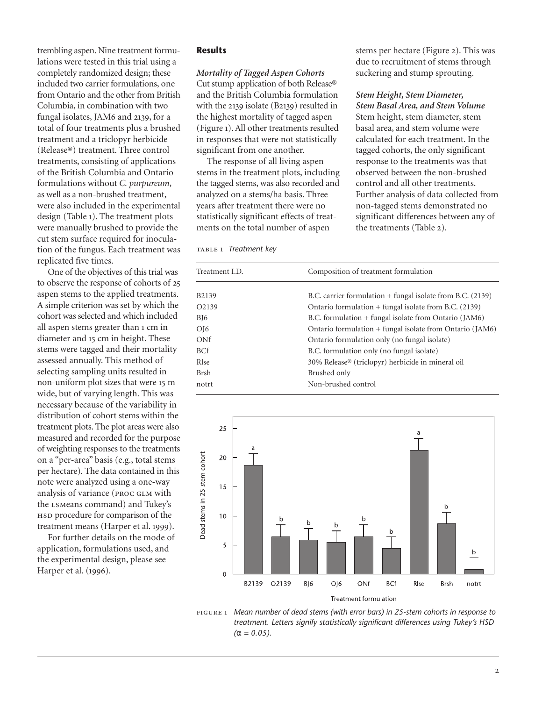trembling aspen. Nine treatment formulations were tested in this trial using a completely randomized design; these included two carrier formulations, one from Ontario and the other from British Columbia, in combination with two fungal isolates, JAM6 and 2139, for a total of four treatments plus a brushed treatment and a triclopyr herbicide (Release®) treatment. Three control treatments, consisting of applications of the British Columbia and Ontario formulations without *C. purpureum*, as well as a non-brushed treatment, were also included in the experimental design (Table 1). The treatment plots were manually brushed to provide the cut stem surface required for inoculation of the fungus. Each treatment was replicated five times.

One of the objectives of this trial was to observe the response of cohorts of aspen stems to the applied treatments. A simple criterion was set by which the cohort was selected and which included all aspen stems greater than 1 cm in diameter and 15 cm in height. These stems were tagged and their mortality assessed annually. This method of selecting sampling units resulted in non-uniform plot sizes that were 15 m wide, but of varying length. This was necessary because of the variability in distribution of cohort stems within the treatment plots. The plot areas were also measured and recorded for the purpose of weighting responses to the treatments on a "per-area" basis (e.g., total stems per hectare). The data contained in this note were analyzed using a one-way analysis of variance (proc glm with the lsmeans command) and Tukey's HSD procedure for comparison of the treatment means (Harper et al. 1999).

For further details on the mode of application, formulations used, and the experimental design, please see Harper et al. (1996).

### **Results**

*Mortality of Tagged Aspen Cohorts* Cut stump application of both Release® and the British Columbia formulation with the  $2139$  isolate (B $2139$ ) resulted in the highest mortality of tagged aspen (Figure ). All other treatments resulted in responses that were not statistically significant from one another.

The response of all living aspen stems in the treatment plots, including the tagged stems, was also recorded and analyzed on a stems/ha basis. Three years after treatment there were no statistically significant effects of treatments on the total number of aspen

table *Treatment key*

stems per hectare (Figure 2). This was due to recruitment of stems through suckering and stump sprouting.

*Stem Height, Stem Diameter,*

*Stem Basal Area, and Stem Volume* Stem height, stem diameter, stem basal area, and stem volume were calculated for each treatment. In the tagged cohorts, the only significant response to the treatments was that observed between the non-brushed control and all other treatments. Further analysis of data collected from non-tagged stems demonstrated no significant differences between any of the treatments (Table 2).

| Treatment I.D. | Composition of treatment formulation                       |  |  |
|----------------|------------------------------------------------------------|--|--|
|                |                                                            |  |  |
| B2139          | B.C. carrier formulation + fungal isolate from B.C. (2139) |  |  |
| O2139          | Ontario formulation $+$ fungal isolate from B.C. (2139)    |  |  |
| BJ6            | B.C. formulation + fungal isolate from Ontario (JAM6)      |  |  |
| OJ6            | Ontario formulation + fungal isolate from Ontario (JAM6)   |  |  |
| ONf            | Ontario formulation only (no fungal isolate)               |  |  |
| BCf            | B.C. formulation only (no fungal isolate)                  |  |  |
| Rlse           | 30% Release® (triclopyr) herbicide in mineral oil          |  |  |
| Brsh           | Brushed only                                               |  |  |
| notrt          | Non-brushed control                                        |  |  |
|                |                                                            |  |  |



figure *Mean number of dead stems (with error bars) in 25-stem cohorts in response to treatment. Letters signify statistically significant differences using Tukey's HSD (*α *= 0.05).*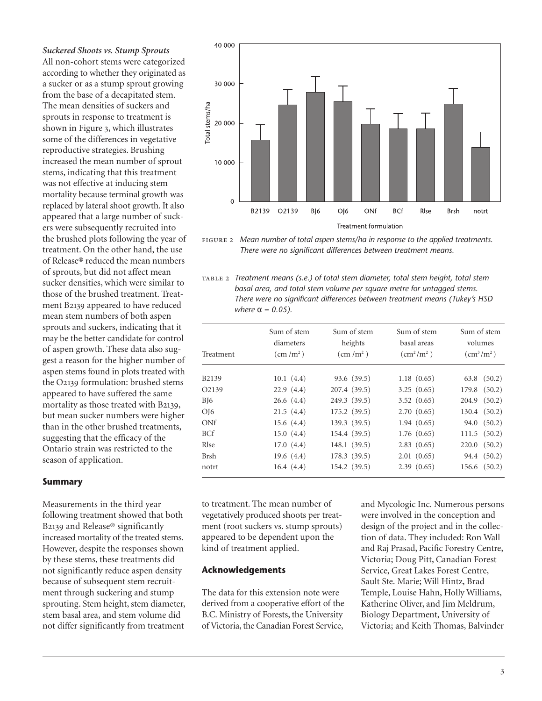*Suckered Shoots vs. Stump Sprouts* All non-cohort stems were categorized according to whether they originated as a sucker or as a stump sprout growing from the base of a decapitated stem. The mean densities of suckers and sprouts in response to treatment is shown in Figure 3, which illustrates some of the differences in vegetative reproductive strategies. Brushing increased the mean number of sprout stems, indicating that this treatment was not effective at inducing stem mortality because terminal growth was replaced by lateral shoot growth. It also appeared that a large number of suckers were subsequently recruited into the brushed plots following the year of treatment. On the other hand, the use of Release® reduced the mean numbers of sprouts, but did not affect mean sucker densities, which were similar to those of the brushed treatment. Treatment B2139 appeared to have reduced mean stem numbers of both aspen sprouts and suckers, indicating that it may be the better candidate for control of aspen growth. These data also suggest a reason for the higher number of aspen stems found in plots treated with the O2139 formulation: brushed stems appeared to have suffered the same mortality as those treated with B2139, but mean sucker numbers were higher than in the other brushed treatments, suggesting that the efficacy of the Ontario strain was restricted to the season of application.

# **Summary**

Measurements in the third year following treatment showed that both B2139 and Release® significantly increased mortality of the treated stems. However, despite the responses shown by these stems, these treatments did not significantly reduce aspen density because of subsequent stem recruitment through suckering and stump sprouting. Stem height, stem diameter, stem basal area, and stem volume did not differ significantly from treatment



figure *Mean number of total aspen stems/ha in response to the applied treatments. There were no significant differences between treatment means.*

table *Treatment means (s.e.) of total stem diameter, total stem height, total stem basal area, and total stem volume per square metre for untagged stems. There were no significant differences between treatment means (Tukey's HSD where*  $α = 0.05$ *)*.

| Treatment          | Sum of stem<br>diameters<br>$\rm (cm/m^2)$ | Sum of stem<br>heights<br>$\rm (cm/m^2)$ | Sum of stem<br>basal areas<br>$\left(\text{cm}^2/\text{m}^2\right)$ | Sum of stem<br>volumes<br>$\rm (cm^3/m^2)$ |
|--------------------|--------------------------------------------|------------------------------------------|---------------------------------------------------------------------|--------------------------------------------|
| B2139              | 10.1(4.4)                                  | 93.6 (39.5)                              | 1.18(0.65)                                                          | $63.8$ $(50.2)$                            |
| O <sub>2</sub> 139 | 22.9(4.4)                                  | 207.4 (39.5)                             | 3.25(0.65)                                                          | 179.8 (50.2)                               |
| BJ6                | 26.6(4.4)                                  | 249.3 (39.5)                             | 3.52(0.65)                                                          | $204.9$ $(50.2)$                           |
| O <sub>16</sub>    | 21.5(4.4)                                  | 175.2 (39.5)                             | 2.70(0.65)                                                          | $130.4 \quad (50.2)$                       |
| ONf                | 15.6(4.4)                                  | 139.3 (39.5)                             | 1.94(0.65)                                                          | 94.0 (50.2)                                |
| <b>BCf</b>         | 15.0(4.4)                                  | 154.4 (39.5)                             | 1.76(0.65)                                                          | $111.5$ $(50.2)$                           |
| Rlse               | 17.0(4.4)                                  | 148.1 (39.5)                             | 2.83(0.65)                                                          | $220.0$ $(50.2)$                           |
| <b>Brsh</b>        | 19.6(4.4)                                  | 178.3(39.5)                              | 2.01(0.65)                                                          | 94.4 (50.2)                                |
| notrt              | 16.4(4.4)                                  | 154.2 (39.5)                             | 2.39(0.65)                                                          | 156.6 (50.2)                               |

to treatment. The mean number of vegetatively produced shoots per treatment (root suckers vs. stump sprouts) appeared to be dependent upon the kind of treatment applied.

# **Acknowledgements**

The data for this extension note were derived from a cooperative effort of the B.C. Ministry of Forests, the University of Victoria, the Canadian Forest Service, and Mycologic Inc. Numerous persons were involved in the conception and design of the project and in the collection of data. They included: Ron Wall and Raj Prasad, Pacific Forestry Centre, Victoria; Doug Pitt, Canadian Forest Service, Great Lakes Forest Centre, Sault Ste. Marie; Will Hintz, Brad Temple, Louise Hahn, Holly Williams, Katherine Oliver, and Jim Meldrum, Biology Department, University of Victoria; and Keith Thomas, Balvinder